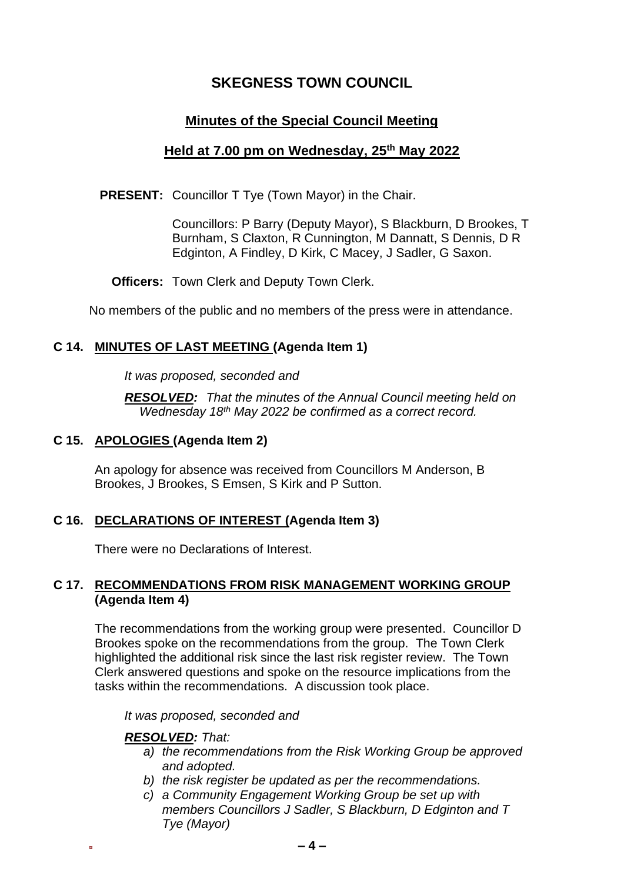# **SKEGNESS TOWN COUNCIL**

# **Minutes of the Special Council Meeting**

# **Held at 7.00 pm on Wednesday, 25th May 2022**

**PRESENT:** Councillor T Tye (Town Mayor) in the Chair.

Councillors: P Barry (Deputy Mayor), S Blackburn, D Brookes, T Burnham, S Claxton, R Cunnington, M Dannatt, S Dennis, D R Edginton, A Findley, D Kirk, C Macey, J Sadler, G Saxon.

**Officers:** Town Clerk and Deputy Town Clerk.

No members of the public and no members of the press were in attendance.

### **C 14. MINUTES OF LAST MEETING (Agenda Item 1)**

*It was proposed, seconded and*

*RESOLVED: That the minutes of the Annual Council meeting held on Wednesday 18th May 2022 be confirmed as a correct record.*

### **C 15. APOLOGIES (Agenda Item 2)**

An apology for absence was received from Councillors M Anderson, B Brookes, J Brookes, S Emsen, S Kirk and P Sutton.

### **C 16. DECLARATIONS OF INTEREST (Agenda Item 3)**

There were no Declarations of Interest.

### **C 17. RECOMMENDATIONS FROM RISK MANAGEMENT WORKING GROUP (Agenda Item 4)**

The recommendations from the working group were presented. Councillor D Brookes spoke on the recommendations from the group. The Town Clerk highlighted the additional risk since the last risk register review. The Town Clerk answered questions and spoke on the resource implications from the tasks within the recommendations. A discussion took place.

*It was proposed, seconded and*

#### *RESOLVED: That:*

- *a) the recommendations from the Risk Working Group be approved and adopted.*
- *b) the risk register be updated as per the recommendations.*
- *c) a Community Engagement Working Group be set up with members Councillors J Sadler, S Blackburn, D Edginton and T Tye (Mayor)*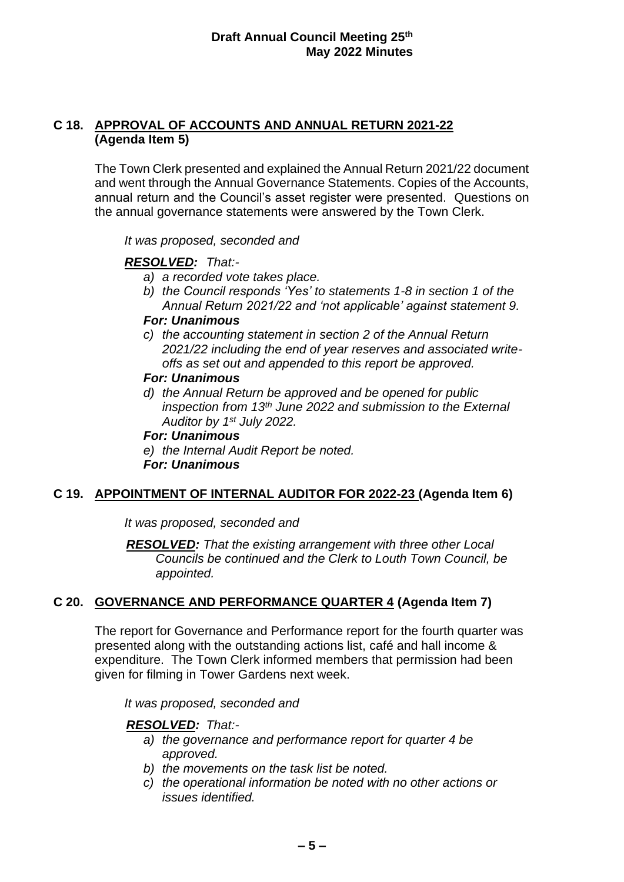### **C 18. APPROVAL OF ACCOUNTS AND ANNUAL RETURN 2021-22 (Agenda Item 5)**

The Town Clerk presented and explained the Annual Return 2021/22 document and went through the Annual Governance Statements. Copies of the Accounts, annual return and the Council's asset register were presented. Questions on the annual governance statements were answered by the Town Clerk.

*It was proposed, seconded and*

### *RESOLVED: That:-*

- *a) a recorded vote takes place.*
- *b) the Council responds 'Yes' to statements 1-8 in section 1 of the Annual Return 2021/22 and 'not applicable' against statement 9.*

### *For: Unanimous*

*c) the accounting statement in section 2 of the Annual Return 2021/22 including the end of year reserves and associated writeoffs as set out and appended to this report be approved.*

#### *For: Unanimous*

*d) the Annual Return be approved and be opened for public inspection from 13th June 2022 and submission to the External Auditor by 1st July 2022.*

#### *For: Unanimous*

*e) the Internal Audit Report be noted. For: Unanimous*

### **C 19. APPOINTMENT OF INTERNAL AUDITOR FOR 2022-23 (Agenda Item 6)**

*It was proposed, seconded and*

*RESOLVED: That the existing arrangement with three other Local Councils be continued and the Clerk to Louth Town Council, be appointed.*

# **C 20. GOVERNANCE AND PERFORMANCE QUARTER 4 (Agenda Item 7)**

The report for Governance and Performance report for the fourth quarter was presented along with the outstanding actions list, café and hall income & expenditure. The Town Clerk informed members that permission had been given for filming in Tower Gardens next week.

*It was proposed, seconded and*

### *RESOLVED: That:-*

- *a) the governance and performance report for quarter 4 be approved.*
- *b) the movements on the task list be noted.*
- *c) the operational information be noted with no other actions or issues identified.*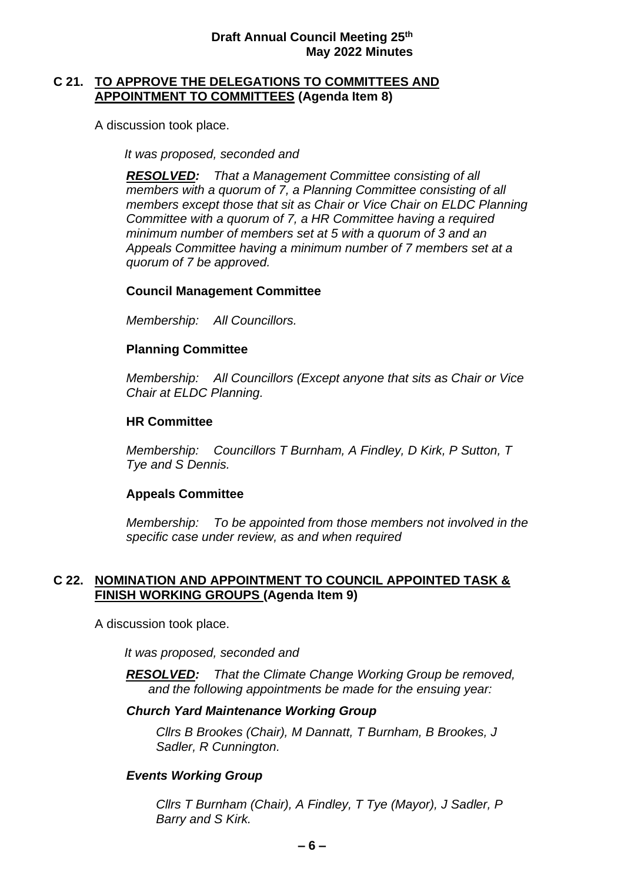#### **Draft Annual Council Meeting 25th May 2022 Minutes**

### **C 21. TO APPROVE THE DELEGATIONS TO COMMITTEES AND APPOINTMENT TO COMMITTEES (Agenda Item 8)**

A discussion took place.

*It was proposed, seconded and*

*RESOLVED: That a Management Committee consisting of all members with a quorum of 7, a Planning Committee consisting of all members except those that sit as Chair or Vice Chair on ELDC Planning Committee with a quorum of 7, a HR Committee having a required minimum number of members set at 5 with a quorum of 3 and an Appeals Committee having a minimum number of 7 members set at a quorum of 7 be approved.*

### **Council Management Committee**

*Membership: All Councillors.* 

### **Planning Committee**

*Membership: All Councillors (Except anyone that sits as Chair or Vice Chair at ELDC Planning.*

### **HR Committee**

*Membership: Councillors T Burnham, A Findley, D Kirk, P Sutton, T Tye and S Dennis.*

### **Appeals Committee**

*Membership: To be appointed from those members not involved in the specific case under review, as and when required* 

### **C 22. NOMINATION AND APPOINTMENT TO COUNCIL APPOINTED TASK & FINISH WORKING GROUPS (Agenda Item 9)**

A discussion took place.

*It was proposed, seconded and*

*RESOLVED: That the Climate Change Working Group be removed, and the following appointments be made for the ensuing year:*

### *Church Yard Maintenance Working Group*

*Cllrs B Brookes (Chair), M Dannatt, T Burnham, B Brookes, J Sadler, R Cunnington.*

### *Events Working Group*

*Cllrs T Burnham (Chair), A Findley, T Tye (Mayor), J Sadler, P Barry and S Kirk.*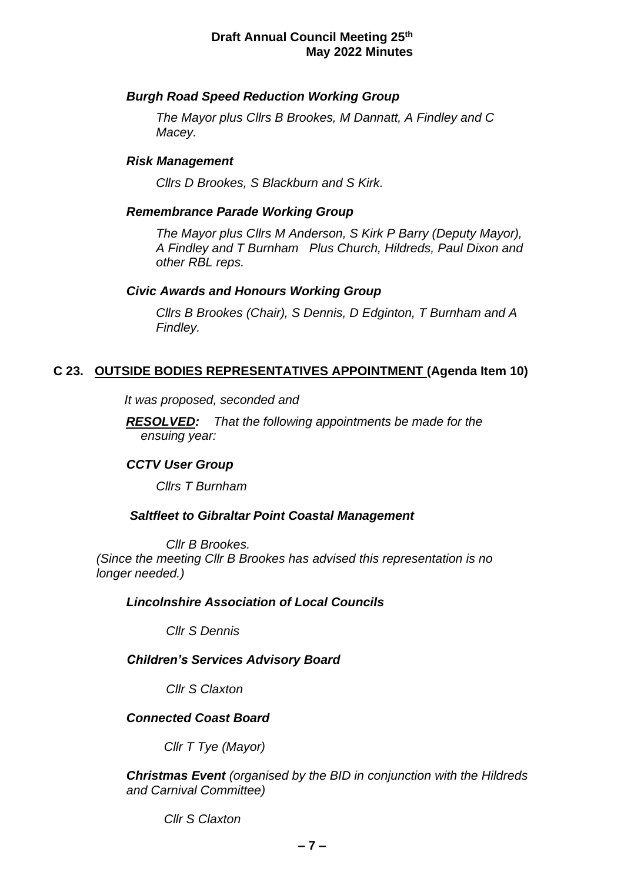#### **Draft Annual Council Meeting 25th May 2022 Minutes**

### *Burgh Road Speed Reduction Working Group*

*The Mayor plus Cllrs B Brookes, M Dannatt, A Findley and C Macey.*

### *Risk Management*

*Cllrs D Brookes, S Blackburn and S Kirk.*

#### *Remembrance Parade Working Group*

*The Mayor plus Cllrs M Anderson, S Kirk P Barry (Deputy Mayor), A Findley and T Burnham Plus Church, Hildreds, Paul Dixon and other RBL reps.*

#### *Civic Awards and Honours Working Group*

*Cllrs B Brookes (Chair), S Dennis, D Edginton, T Burnham and A Findley.*

### **C 23. OUTSIDE BODIES REPRESENTATIVES APPOINTMENT (Agenda Item 10)**

*It was proposed, seconded and*

*RESOLVED: That the following appointments be made for the ensuing year:*

### *CCTV User Group*

*Cllrs T Burnham*

#### *Saltfleet to Gibraltar Point Coastal Management*

*Cllr B Brookes. (Since the meeting Cllr B Brookes has advised this representation is no longer needed.)*

#### *Lincolnshire Association of Local Councils*

*Cllr S Dennis*

### *Children's Services Advisory Board*

*Cllr S Claxton*

#### *Connected Coast Board*

*Cllr T Tye (Mayor)*

*Christmas Event (organised by the BID in conjunction with the Hildreds and Carnival Committee)*

*Cllr S Claxton*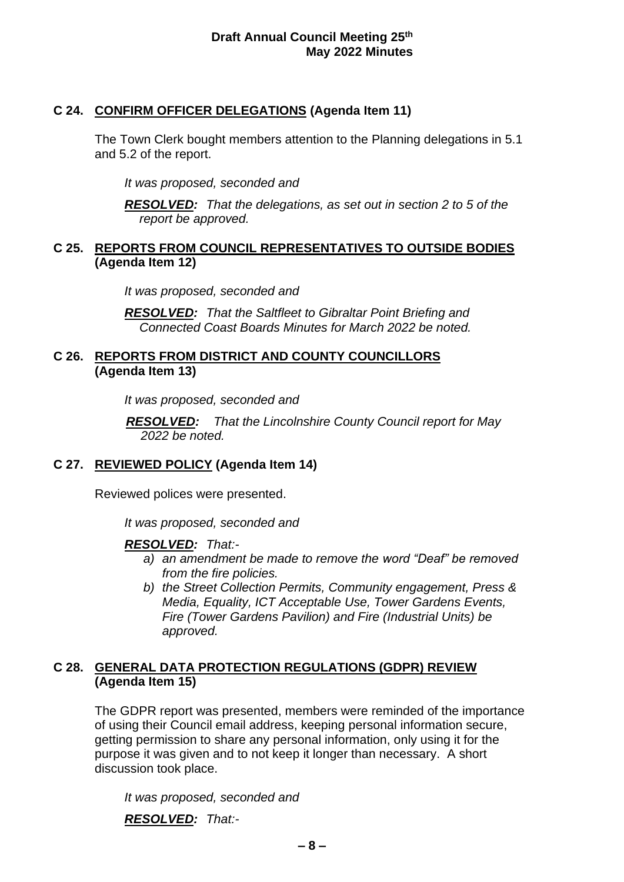# **C 24. CONFIRM OFFICER DELEGATIONS (Agenda Item 11)**

The Town Clerk bought members attention to the Planning delegations in 5.1 and 5.2 of the report.

*It was proposed, seconded and*

*RESOLVED: That the delegations, as set out in section 2 to 5 of the report be approved.*

### **C 25. REPORTS FROM COUNCIL REPRESENTATIVES TO OUTSIDE BODIES (Agenda Item 12)**

*It was proposed, seconded and*

*RESOLVED: That the Saltfleet to Gibraltar Point Briefing and Connected Coast Boards Minutes for March 2022 be noted.*

# **C 26. REPORTS FROM DISTRICT AND COUNTY COUNCILLORS (Agenda Item 13)**

*It was proposed, seconded and*

*RESOLVED: That the Lincolnshire County Council report for May 2022 be noted.*

# **C 27. REVIEWED POLICY (Agenda Item 14)**

Reviewed polices were presented.

*It was proposed, seconded and*

# *RESOLVED: That:-*

- *a) an amendment be made to remove the word "Deaf" be removed from the fire policies.*
- *b) the Street Collection Permits, Community engagement, Press & Media, Equality, ICT Acceptable Use, Tower Gardens Events, Fire (Tower Gardens Pavilion) and Fire (Industrial Units) be approved.*

# **C 28. GENERAL DATA PROTECTION REGULATIONS (GDPR) REVIEW (Agenda Item 15)**

The GDPR report was presented, members were reminded of the importance of using their Council email address, keeping personal information secure, getting permission to share any personal information, only using it for the purpose it was given and to not keep it longer than necessary. A short discussion took place.

*It was proposed, seconded and*

*RESOLVED: That:-*